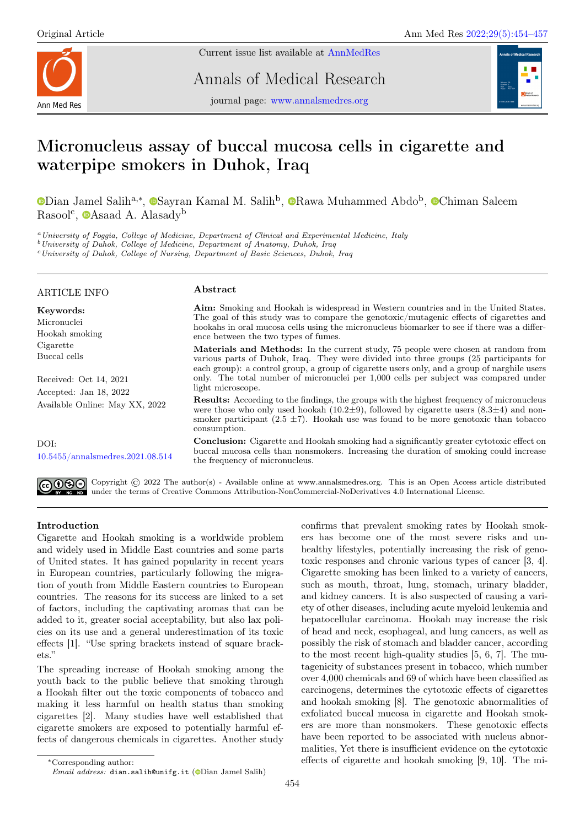

Current issue list available at [AnnMedRes](https://annalsmedres.org/index.php/aomr/issue/view/163)

Annals of Medical Research



journal page: [www.annalsmedres.org](https://www.annalsmedres.org)

# Micronucleus assay of buccal mucosa cells in cigarette and waterpipe smokers in Duhok, Iraq

[D](https://orcid.org/0000-0001-5175-8653)ian Jamel [S](https://orcid.org/0000-0003-1006-086X)alih<sup>a,∗</sup>, <sup>®</sup>Sayran Kamal M. Salih<sup>b</sup>, <sup>®</sup>[R](https://orcid.org/0000-0003-4625-8755)awa Muhammed Abdo<sup>b</sup>, <sup>®</sup>[C](https://orcid.org/0000-0002-4840-8633)himan Saleem Rasool<sup>c</sup>, **[A](https://orcid.org/0000-0001-6392-78564)saad A.** Alasady<sup>b</sup>

<sup>a</sup>University of Foggia, College of Medicine, Department of Clinical and Experimental Medicine, Italy

<sup>b</sup>University of Duhok, College of Medicine, Department of Anatomy, Duhok, Iraq

<sup>c</sup>University of Duhok, College of Nursing, Department of Basic Sciences, Duhok, Iraq

## ARTICLE INFO

Received: Oct 14, 2021 Accepted: Jan 18, 2022

Available Online: May XX, 2022

[10.5455/annalsmedres.2021.08.514](https://doi.org/10.5455/annalsmedres.2021.08.514)

Keywords: Micronuclei Hookah smoking Cigarette Buccal cells

## Abstract

Aim: Smoking and Hookah is widespread in Western countries and in the United States. The goal of this study was to compare the genotoxic/mutagenic effects of cigarettes and hookahs in oral mucosa cells using the micronucleus biomarker to see if there was a difference between the two types of fumes.

Materials and Methods: In the current study, 75 people were chosen at random from various parts of Duhok, Iraq. They were divided into three groups (25 participants for each group): a control group, a group of cigarette users only, and a group of narghile users only. The total number of micronuclei per 1,000 cells per subject was compared under light microscope.

Results: According to the findings, the groups with the highest frequency of micronucleus were those who only used hookah (10.2 $\pm$ 9), followed by cigarette users (8.3 $\pm$ 4) and nonsmoker participant (2.5  $\pm$ 7). Hookah use was found to be more genotoxic than tobacco consumption.

Conclusion: Cigarette and Hookah smoking had a significantly greater cytotoxic effect on buccal mucosa cells than nonsmokers. Increasing the duration of smoking could increase the frequency of micronucleus.



DOI:

GOG Copyright © 2022 The author(s) - Available online at www.annalsmedres.org. This is an Open Access article distributed under the terms of Creative Commons Attribution-NonCommercial-NoDerivatives 4.0 International License.

# Introduction

Cigarette and Hookah smoking is a worldwide problem and widely used in Middle East countries and some parts of United states. It has gained popularity in recent years in European countries, particularly following the migration of youth from Middle Eastern countries to European countries. The reasons for its success are linked to a set of factors, including the captivating aromas that can be added to it, greater social acceptability, but also lax policies on its use and a general underestimation of its toxic effects [1]. "Use spring brackets instead of square brackets."

The spreading increase of Hookah smoking among the youth back to the public believe that smoking through a Hookah filter out the toxic components of tobacco and making it less harmful on health status than smoking cigarettes [2]. Many studies have well established that cigarette smokers are exposed to potentially harmful effects of dangerous chemicals in cigarettes. Another study ers has become one of the most severe risks and unhealthy lifestyles, potentially increasing the risk of genotoxic responses and chronic various types of cancer [3, 4]. Cigarette smoking has been linked to a variety of cancers, such as mouth, throat, lung, stomach, urinary bladder, and kidney cancers. It is also suspected of causing a variety of other diseases, including acute myeloid leukemia and hepatocellular carcinoma. Hookah may increase the risk of head and neck, esophageal, and lung cancers, as well as possibly the risk of stomach and bladder cancer, according to the most recent high-quality studies [5, 6, 7]. The mutagenicity of substances present in tobacco, which number over 4,000 chemicals and 69 of which have been classified as carcinogens, determines the cytotoxic effects of cigarettes and hookah smoking [8]. The genotoxic abnormalities of exfoliated buccal mucosa in cigarette and Hookah smokers are more than nonsmokers. These genotoxic effects have been reported to be associated with nucleus abnormalities, Yet there is insufficient evidence on the cytotoxic effects of cigarette and hookah smoking [9, 10]. The mi-

confirms that prevalent smoking rates by Hookah smok-

<sup>∗</sup>Corresponding author: Email address: dian.salih@unifg.it ( $\bullet$ [D](https://orcid.org/0000-0001-5175-8653)ian Jamel Salih)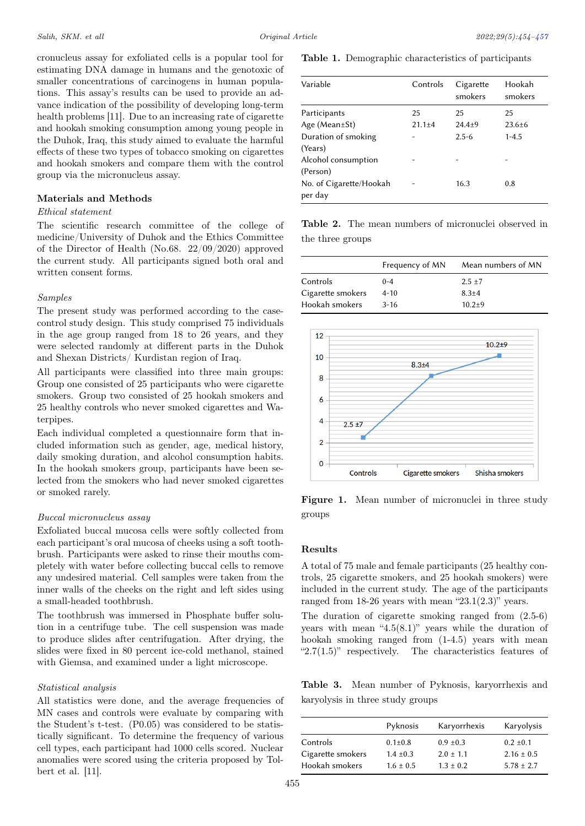cronucleus assay for exfoliated cells is a popular tool for estimating DNA damage in humans and the genotoxic of smaller concentrations of carcinogens in human populations. This assay's results can be used to provide an advance indication of the possibility of developing long-term health problems [11]. Due to an increasing rate of cigarette and hookah smoking consumption among young people in the Duhok, Iraq, this study aimed to evaluate the harmful effects of these two types of tobacco smoking on cigarettes and hookah smokers and compare them with the control group via the micronucleus assay.

## Materials and Methods

## Ethical statement

The scientific research committee of the college of medicine/University of Duhok and the Ethics Committee of the Director of Health (No.68. 22/09/2020) approved the current study. All participants signed both oral and written consent forms.

## Samples

The present study was performed according to the casecontrol study design. This study comprised 75 individuals in the age group ranged from 18 to 26 years, and they were selected randomly at different parts in the Duhok and Shexan Districts/ Kurdistan region of Iraq.

All participants were classified into three main groups: Group one consisted of 25 participants who were cigarette smokers. Group two consisted of 25 hookah smokers and 25 healthy controls who never smoked cigarettes and Waterpipes.

Each individual completed a questionnaire form that included information such as gender, age, medical history, daily smoking duration, and alcohol consumption habits. In the hookah smokers group, participants have been selected from the smokers who had never smoked cigarettes or smoked rarely.

## Buccal micronucleus assay

Exfoliated buccal mucosa cells were softly collected from each participant's oral mucosa of cheeks using a soft toothbrush. Participants were asked to rinse their mouths completely with water before collecting buccal cells to remove any undesired material. Cell samples were taken from the inner walls of the cheeks on the right and left sides using a small-headed toothbrush.

The toothbrush was immersed in Phosphate buffer solution in a centrifuge tube. The cell suspension was made to produce slides after centrifugation. After drying, the slides were fixed in 80 percent ice-cold methanol, stained with Giemsa, and examined under a light microscope.

#### Statistical analysis

All statistics were done, and the average frequencies of MN cases and controls were evaluate by comparing with the Student's t-test. (P0.05) was considered to be statistically significant. To determine the frequency of various cell types, each participant had 1000 cells scored. Nuclear anomalies were scored using the criteria proposed by Tolbert et al. [11].

Table 1. Demographic characteristics of participants

| Variable                           | Controls     | Cigarette<br>smokers | Hookah<br>smokers |
|------------------------------------|--------------|----------------------|-------------------|
| Participants                       | 25           | 25                   | 25                |
| Age (Mean $\pm$ St)                | $21.1 \pm 4$ | $24.4 + 9$           | $23.6 \pm 6$      |
| Duration of smoking                |              | $2.5 - 6$            | $1 - 4.5$         |
| (Years)                            |              |                      |                   |
| Alcohol consumption                |              |                      |                   |
| (Person)                           |              |                      |                   |
| No. of Cigarette/Hookah<br>per day |              | 16.3                 | 0.8               |

Table 2. The mean numbers of micronuclei observed in the three groups

|                   | Frequency of MN | Mean numbers of MN |
|-------------------|-----------------|--------------------|
| Controls          | $0 - 4$         | $2.5 \pm 7$        |
| Cigarette smokers | $4 - 10$        | $8.3 + 4$          |
| Hookah smokers    | $3 - 16$        | $10.2 + 9$         |



Figure 1. Mean number of micronuclei in three study groups

## Results

A total of 75 male and female participants (25 healthy controls, 25 cigarette smokers, and 25 hookah smokers) were included in the current study. The age of the participants ranged from  $18-26$  years with mean "23.1(2.3)" years.

The duration of cigarette smoking ranged from (2.5-6) years with mean "4.5(8.1)" years while the duration of hookah smoking ranged from (1-4.5) years with mean " $2.7(1.5)$ " respectively. The characteristics features of

Table 3. Mean number of Pyknosis, karyorrhexis and karyolysis in three study groups

|                   | Pyknosis      | Karyorrhexis  | Karyolysis     |
|-------------------|---------------|---------------|----------------|
| Controls          | $0.1 \pm 0.8$ | $0.9 \pm 0.3$ | $0.2 \pm 0.1$  |
| Cigarette smokers | $1.4 \pm 0.3$ | $2.0 \pm 1.1$ | $2.16 \pm 0.5$ |
| Hookah smokers    | $1.6 \pm 0.5$ | $1.3 \pm 0.2$ | $5.78 \pm 2.7$ |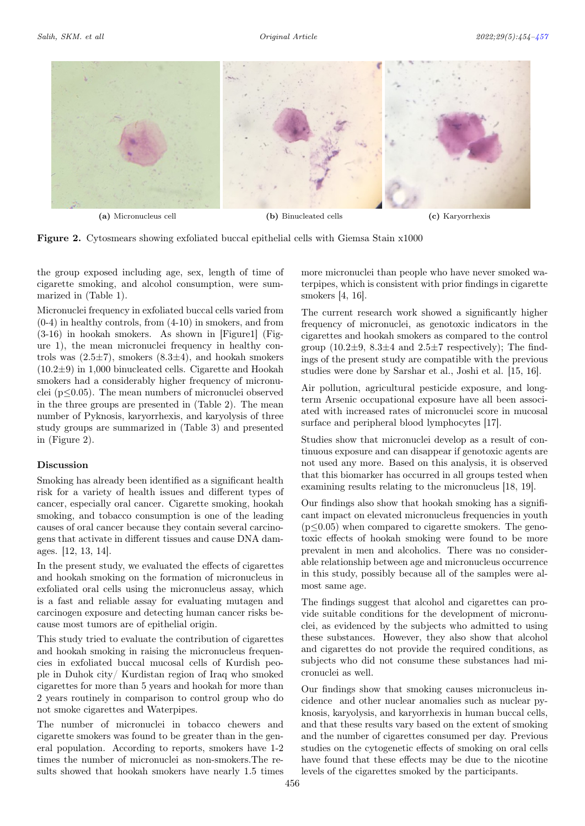<span id="page-2-0"></span>

Figure 2. Cytosmears showing exfoliated buccal epithelial cells with Giemsa Stain x1000

the group exposed including age, sex, length of time of cigarette smoking, and alcohol consumption, were summarized in (Table 1).

Micronuclei frequency in exfoliated buccal cells varied from (0-4) in healthy controls, from (4-10) in smokers, and from (3-16) in hookah smokers. As shown in [Figure1] (Figure 1), the mean micronuclei frequency in healthy controls was  $(2.5\pm7)$ , smokers  $(8.3\pm4)$ , and hookah smokers (10.2±9) in 1,000 binucleated cells. Cigarette and Hookah smokers had a considerably higher frequency of micronuclei (p≤0.05). The mean numbers of micronuclei observed in the three groups are presented in (Table 2). The mean number of Pyknosis, karyorrhexis, and karyolysis of three study groups are summarized in (Table 3) and presented in (Figure 2).

# Discussion

Smoking has already been identified as a significant health risk for a variety of health issues and different types of cancer, especially oral cancer. Cigarette smoking, hookah smoking, and tobacco consumption is one of the leading causes of oral cancer because they contain several carcinogens that activate in different tissues and cause DNA damages. [12, 13, 14].

In the present study, we evaluated the effects of cigarettes and hookah smoking on the formation of micronucleus in exfoliated oral cells using the micronucleus assay, which is a fast and reliable assay for evaluating mutagen and carcinogen exposure and detecting human cancer risks because most tumors are of epithelial origin.

This study tried to evaluate the contribution of cigarettes and hookah smoking in raising the micronucleus frequencies in exfoliated buccal mucosal cells of Kurdish people in Duhok city/ Kurdistan region of Iraq who smoked cigarettes for more than 5 years and hookah for more than 2 years routinely in comparison to control group who do not smoke cigarettes and Waterpipes.

The number of micronuclei in tobacco chewers and cigarette smokers was found to be greater than in the general population. According to reports, smokers have 1-2 times the number of micronuclei as non-smokers.The results showed that hookah smokers have nearly 1.5 times

more micronuclei than people who have never smoked waterpipes, which is consistent with prior findings in cigarette smokers [4, 16].

The current research work showed a significantly higher frequency of micronuclei, as genotoxic indicators in the cigarettes and hookah smokers as compared to the control group  $(10.2\pm9, 8.3\pm4, 2.5\pm7)$  respectively); The findings of the present study are compatible with the previous studies were done by Sarshar et al., Joshi et al. [15, 16].

Air pollution, agricultural pesticide exposure, and longterm Arsenic occupational exposure have all been associated with increased rates of micronuclei score in mucosal surface and peripheral blood lymphocytes [17].

Studies show that micronuclei develop as a result of continuous exposure and can disappear if genotoxic agents are not used any more. Based on this analysis, it is observed that this biomarker has occurred in all groups tested when examining results relating to the micronucleus [18, 19].

Our findings also show that hookah smoking has a significant impact on elevated micronucleus frequencies in youth  $(p \leq 0.05)$  when compared to cigarette smokers. The genotoxic effects of hookah smoking were found to be more prevalent in men and alcoholics. There was no considerable relationship between age and micronucleus occurrence in this study, possibly because all of the samples were almost same age.

The findings suggest that alcohol and cigarettes can provide suitable conditions for the development of micronuclei, as evidenced by the subjects who admitted to using these substances. However, they also show that alcohol and cigarettes do not provide the required conditions, as subjects who did not consume these substances had micronuclei as well.

Our findings show that smoking causes micronucleus incidence and other nuclear anomalies such as nuclear pyknosis, karyolysis, and karyorrhexis in human buccal cells, and that these results vary based on the extent of smoking and the number of cigarettes consumed per day. Previous studies on the cytogenetic effects of smoking on oral cells have found that these effects may be due to the nicotine levels of the cigarettes smoked by the participants.